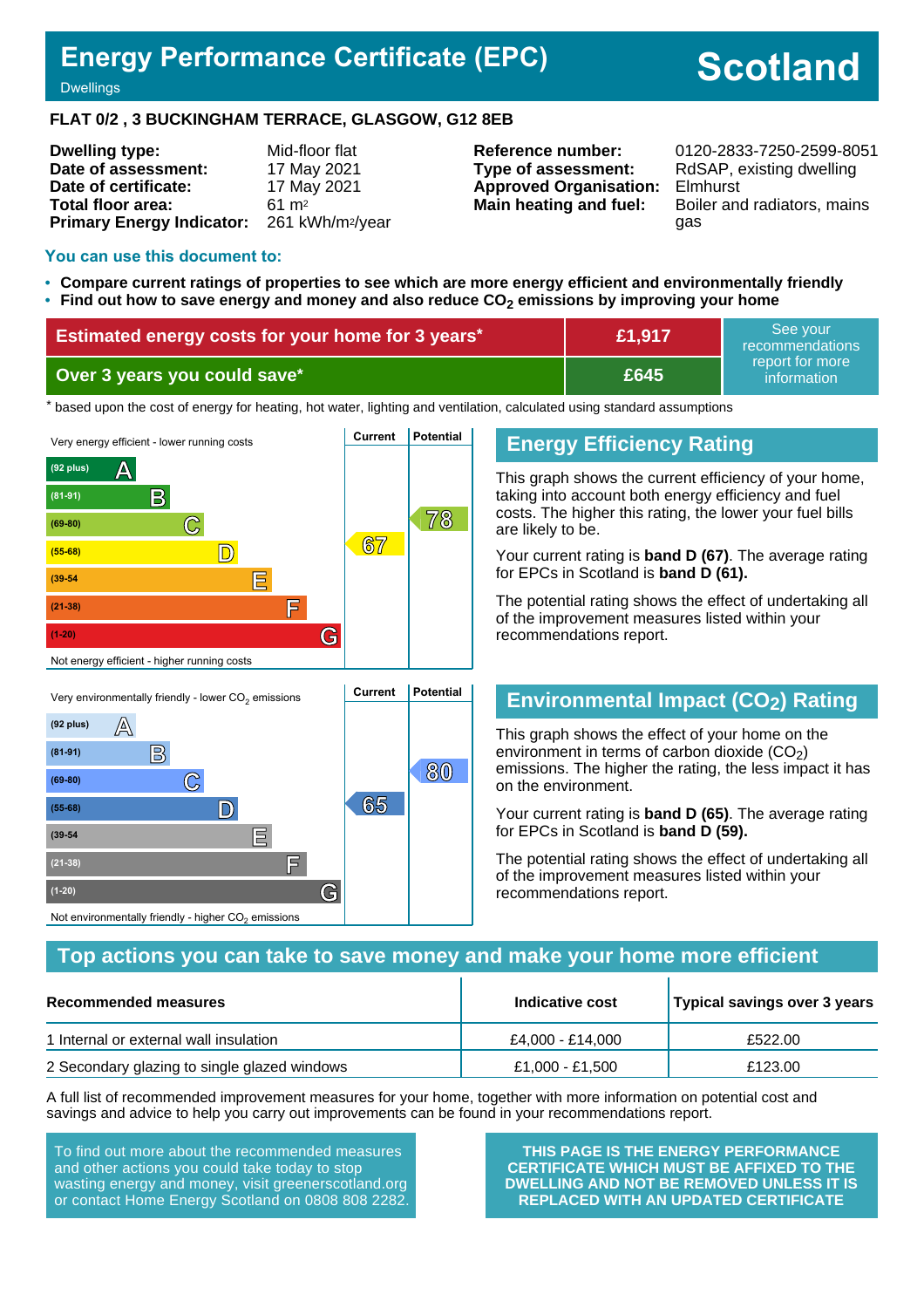# **Energy Performance Certificate (EPC)**

# **Scotland**

**Dwellings** 

#### **FLAT 0/2 , 3 BUCKINGHAM TERRACE, GLASGOW, G12 8EB**

| <b>Dwelling type:</b>            | Mid-floor flat               |
|----------------------------------|------------------------------|
| Date of assessment:              | 17 May 2021                  |
| Date of certificate:             | 17 May 2021                  |
| Total floor area:                | $61 \text{ m}^2$             |
| <b>Primary Energy Indicator:</b> | 261 kWh/m <sup>2</sup> /year |

**Type of assessment:** RdSAP, existing dwelling **Approved Organisation:** Elmhurst

**Reference number:** 0120-2833-7250-2599-8051 **Main heating and fuel:** Boiler and radiators, mains gas

#### **You can use this document to:**

- **Compare current ratings of properties to see which are more energy efficient and environmentally friendly**
- **Find out how to save energy and money and also reduce CO2 emissions by improving your home**

| <b>Estimated energy costs for your home for 3 years*</b> | £1,917 | See vour<br>recommendations                 |
|----------------------------------------------------------|--------|---------------------------------------------|
| Over 3 years you could save*                             | £645   | report for more<br>information <sup>1</sup> |

the based upon the cost of energy for heating, hot water, lighting and ventilation, calculated using standard assumptions



#### **Energy Efficiency Rating**

This graph shows the current efficiency of your home, taking into account both energy efficiency and fuel costs. The higher this rating, the lower your fuel bills are likely to be.

Your current rating is **band D (67)**. The average rating for EPCs in Scotland is **band D (61).**

The potential rating shows the effect of undertaking all of the improvement measures listed within your recommendations report.

# **Environmental Impact (CO2) Rating**

This graph shows the effect of your home on the environment in terms of carbon dioxide  $(CO<sub>2</sub>)$ emissions. The higher the rating, the less impact it has on the environment.

Your current rating is **band D (65)**. The average rating for EPCs in Scotland is **band D (59).**

The potential rating shows the effect of undertaking all of the improvement measures listed within your recommendations report.

#### **Top actions you can take to save money and make your home more efficient**

| Recommended measures                         | Indicative cost  | Typical savings over 3 years |
|----------------------------------------------|------------------|------------------------------|
| 1 Internal or external wall insulation       | £4.000 - £14.000 | £522.00                      |
| 2 Secondary glazing to single glazed windows | £1,000 - £1,500  | £123.00                      |

A full list of recommended improvement measures for your home, together with more information on potential cost and savings and advice to help you carry out improvements can be found in your recommendations report.

To find out more about the recommended measures and other actions you could take today to stop wasting energy and money, visit greenerscotland.org or contact Home Energy Scotland on 0808 808 2282.

**THIS PAGE IS THE ENERGY PERFORMANCE CERTIFICATE WHICH MUST BE AFFIXED TO THE DWELLING AND NOT BE REMOVED UNLESS IT IS REPLACED WITH AN UPDATED CERTIFICATE**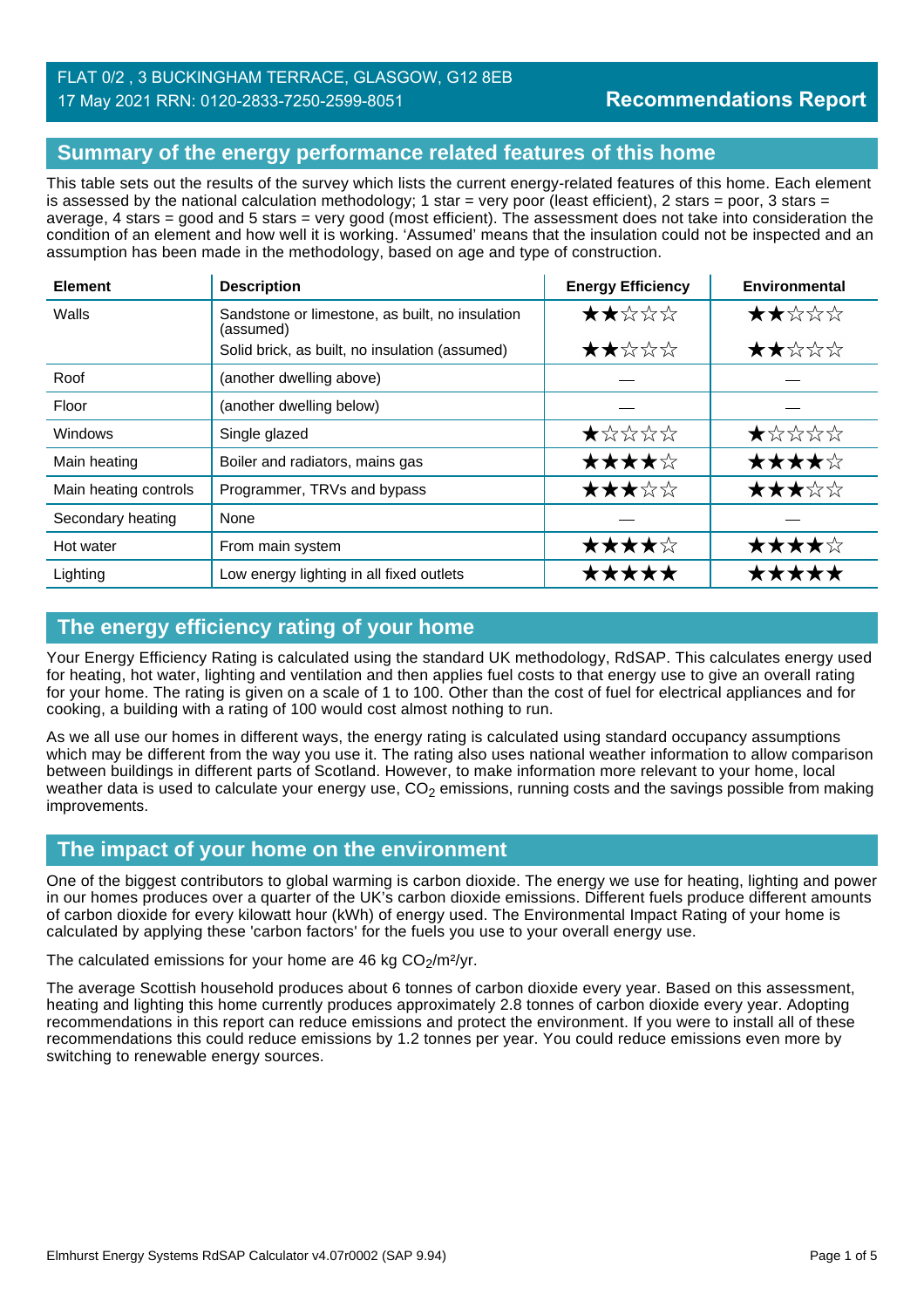#### FLAT 0/2 , 3 BUCKINGHAM TERRACE, GLASGOW, G12 8EB 17 May 2021 RRN: 0120-2833-7250-2599-8051

## **Summary of the energy performance related features of this home**

This table sets out the results of the survey which lists the current energy-related features of this home. Each element is assessed by the national calculation methodology; 1 star = very poor (least efficient), 2 stars = poor, 3 stars = average, 4 stars = good and 5 stars = very good (most efficient). The assessment does not take into consideration the condition of an element and how well it is working. 'Assumed' means that the insulation could not be inspected and an assumption has been made in the methodology, based on age and type of construction.

| <b>Element</b>        | <b>Description</b>                                           | <b>Energy Efficiency</b> | Environmental |
|-----------------------|--------------------------------------------------------------|--------------------------|---------------|
| Walls                 | Sandstone or limestone, as built, no insulation<br>(assumed) |                          | ★★☆☆☆         |
|                       | Solid brick, as built, no insulation (assumed)               | ★★☆☆☆                    | ★★☆☆☆         |
| Roof                  | (another dwelling above)                                     |                          |               |
| Floor                 | (another dwelling below)                                     |                          |               |
| Windows               | Single glazed                                                | ★☆☆☆☆                    | ★☆☆☆☆         |
| Main heating          | Boiler and radiators, mains gas                              | ★★★★☆                    | ★★★★☆         |
| Main heating controls | Programmer, TRVs and bypass                                  | ★★★☆☆                    | ★★★☆☆         |
| Secondary heating     | None                                                         |                          |               |
| Hot water             | From main system                                             | ★★★★☆                    | ★★★★☆         |
| Lighting              | Low energy lighting in all fixed outlets                     | *****                    | *****         |

# **The energy efficiency rating of your home**

Your Energy Efficiency Rating is calculated using the standard UK methodology, RdSAP. This calculates energy used for heating, hot water, lighting and ventilation and then applies fuel costs to that energy use to give an overall rating for your home. The rating is given on a scale of 1 to 100. Other than the cost of fuel for electrical appliances and for cooking, a building with a rating of 100 would cost almost nothing to run.

As we all use our homes in different ways, the energy rating is calculated using standard occupancy assumptions which may be different from the way you use it. The rating also uses national weather information to allow comparison between buildings in different parts of Scotland. However, to make information more relevant to your home, local weather data is used to calculate your energy use,  $CO<sub>2</sub>$  emissions, running costs and the savings possible from making improvements.

## **The impact of your home on the environment**

One of the biggest contributors to global warming is carbon dioxide. The energy we use for heating, lighting and power in our homes produces over a quarter of the UK's carbon dioxide emissions. Different fuels produce different amounts of carbon dioxide for every kilowatt hour (kWh) of energy used. The Environmental Impact Rating of your home is calculated by applying these 'carbon factors' for the fuels you use to your overall energy use.

The calculated emissions for your home are 46 kg  $CO<sub>2</sub>/m<sup>2</sup>/yr$ .

The average Scottish household produces about 6 tonnes of carbon dioxide every year. Based on this assessment, heating and lighting this home currently produces approximately 2.8 tonnes of carbon dioxide every year. Adopting recommendations in this report can reduce emissions and protect the environment. If you were to install all of these recommendations this could reduce emissions by 1.2 tonnes per year. You could reduce emissions even more by switching to renewable energy sources.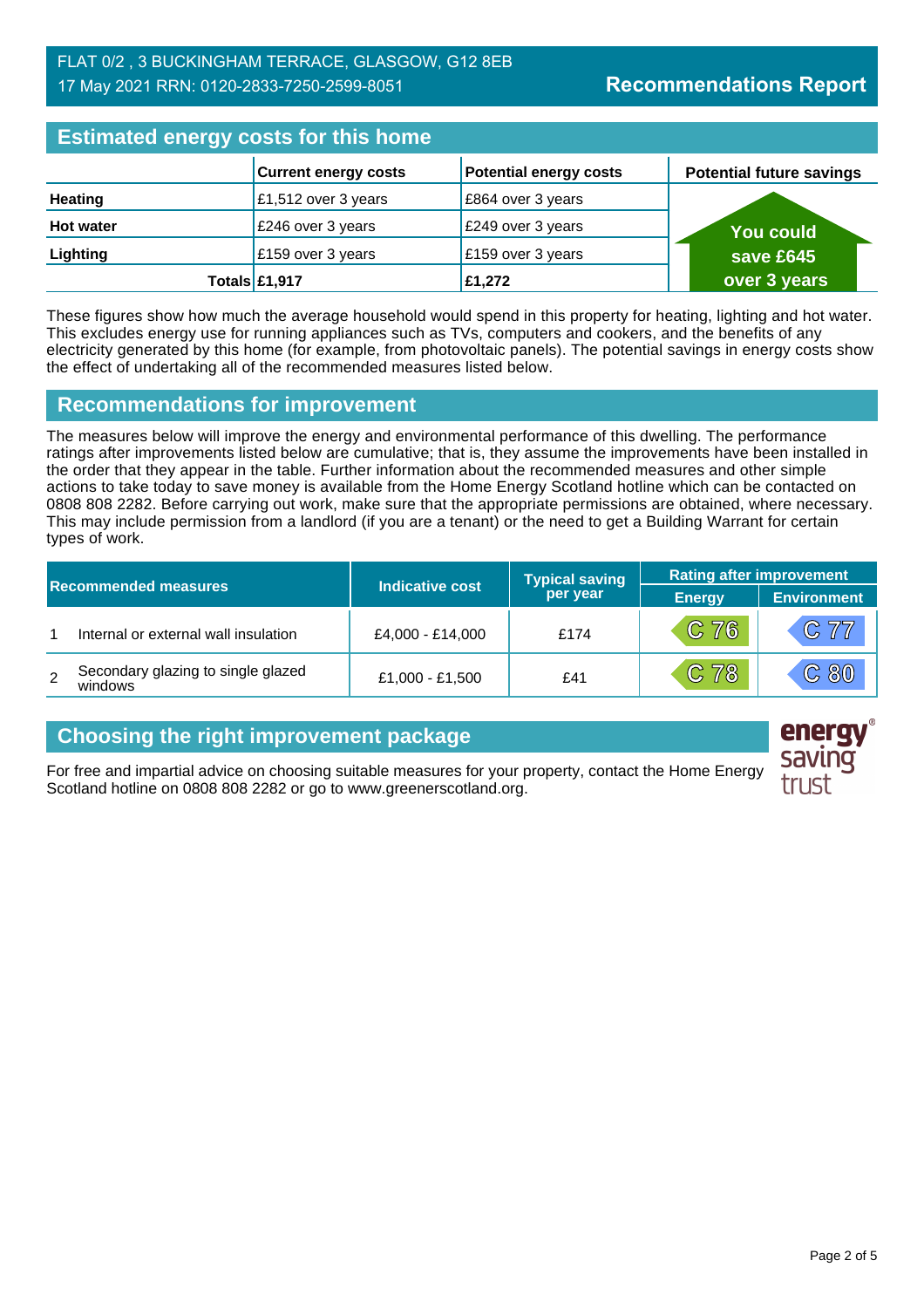| <b>Estimated energy costs for this home</b> |                             |                               |                                 |  |
|---------------------------------------------|-----------------------------|-------------------------------|---------------------------------|--|
|                                             | <b>Current energy costs</b> | <b>Potential energy costs</b> | <b>Potential future savings</b> |  |
| <b>Heating</b>                              | £1,512 over 3 years         | E864 over 3 years             |                                 |  |
| <b>Hot water</b>                            | £246 over 3 years           | £249 over 3 years             | <b>You could</b>                |  |
| Lighting                                    | £159 over 3 years           | £159 over 3 years             | save £645                       |  |
|                                             | Totals £1,917               | £1,272                        | over 3 years                    |  |

These figures show how much the average household would spend in this property for heating, lighting and hot water. This excludes energy use for running appliances such as TVs, computers and cookers, and the benefits of any electricity generated by this home (for example, from photovoltaic panels). The potential savings in energy costs show the effect of undertaking all of the recommended measures listed below.

#### **Recommendations for improvement**

The measures below will improve the energy and environmental performance of this dwelling. The performance ratings after improvements listed below are cumulative; that is, they assume the improvements have been installed in the order that they appear in the table. Further information about the recommended measures and other simple actions to take today to save money is available from the Home Energy Scotland hotline which can be contacted on 0808 808 2282. Before carrying out work, make sure that the appropriate permissions are obtained, where necessary. This may include permission from a landlord (if you are a tenant) or the need to get a Building Warrant for certain types of work.

| <b>Recommended measures</b> |                                               |                  | <b>Typical saving</b> | <b>Rating after improvement</b> |                    |
|-----------------------------|-----------------------------------------------|------------------|-----------------------|---------------------------------|--------------------|
|                             |                                               | Indicative cost  | per year              | <b>Energy</b>                   | <b>Environment</b> |
|                             | Internal or external wall insulation          | £4,000 - £14,000 | £174                  | C76                             | C 77               |
| 2                           | Secondary glazing to single glazed<br>windows | £1,000 - £1,500  | £41                   | C 78                            | C80                |

## **Choosing the right improvement package**

For free and impartial advice on choosing suitable measures for your property, contact the Home Energy Scotland hotline on 0808 808 2282 or go to www.greenerscotland.org.

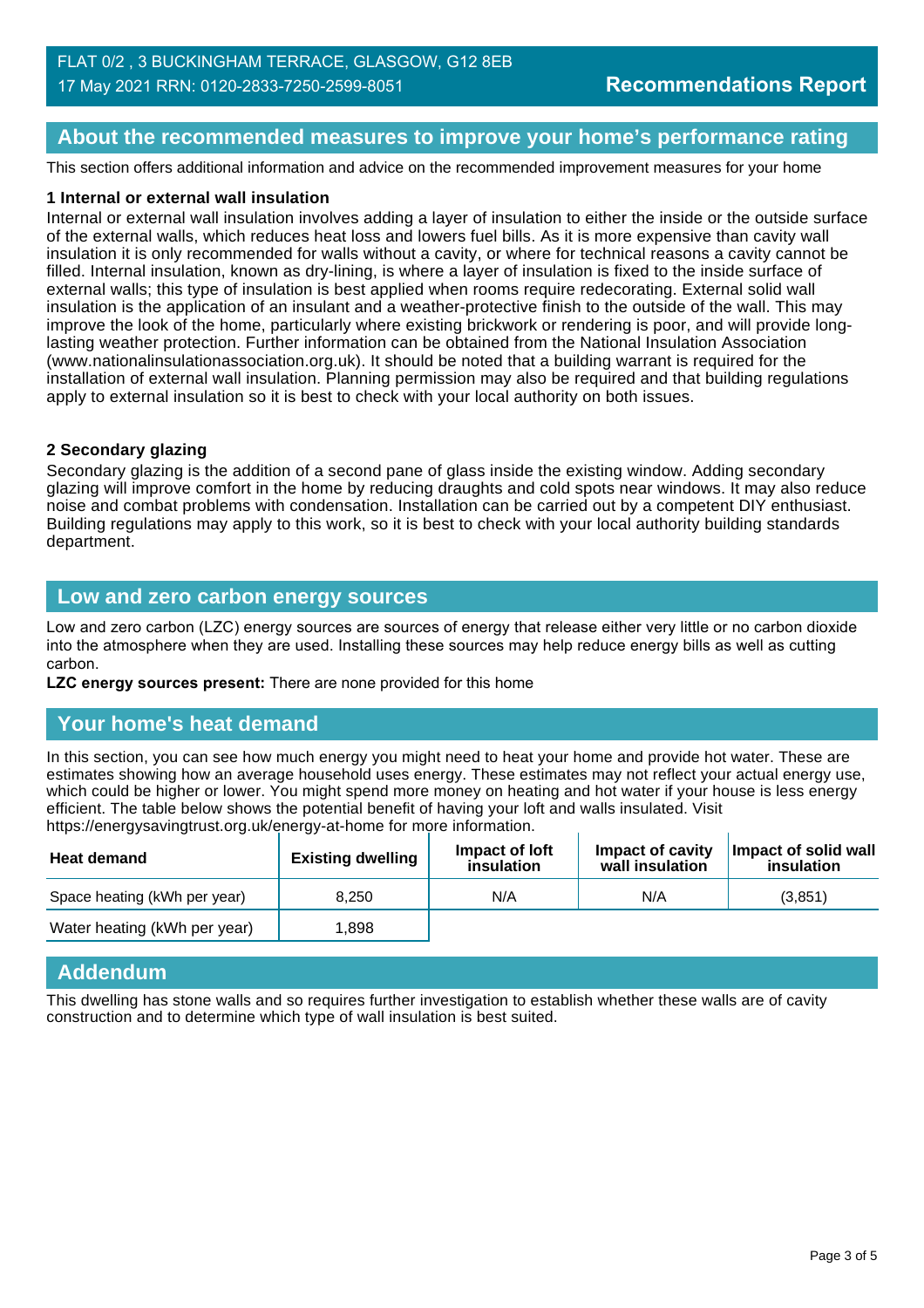### **About the recommended measures to improve your home's performance rating**

This section offers additional information and advice on the recommended improvement measures for your home

#### **1 Internal or external wall insulation**

Internal or external wall insulation involves adding a layer of insulation to either the inside or the outside surface of the external walls, which reduces heat loss and lowers fuel bills. As it is more expensive than cavity wall insulation it is only recommended for walls without a cavity, or where for technical reasons a cavity cannot be filled. Internal insulation, known as dry-lining, is where a layer of insulation is fixed to the inside surface of external walls; this type of insulation is best applied when rooms require redecorating. External solid wall insulation is the application of an insulant and a weather-protective finish to the outside of the wall. This may improve the look of the home, particularly where existing brickwork or rendering is poor, and will provide longlasting weather protection. Further information can be obtained from the National Insulation Association (www.nationalinsulationassociation.org.uk). It should be noted that a building warrant is required for the installation of external wall insulation. Planning permission may also be required and that building regulations apply to external insulation so it is best to check with your local authority on both issues.

#### **2 Secondary glazing**

Secondary glazing is the addition of a second pane of glass inside the existing window. Adding secondary glazing will improve comfort in the home by reducing draughts and cold spots near windows. It may also reduce noise and combat problems with condensation. Installation can be carried out by a competent DIY enthusiast. Building regulations may apply to this work, so it is best to check with your local authority building standards department.

#### **Low and zero carbon energy sources**

Low and zero carbon (LZC) energy sources are sources of energy that release either very little or no carbon dioxide into the atmosphere when they are used. Installing these sources may help reduce energy bills as well as cutting carbon.

**LZC energy sources present:** There are none provided for this home

#### **Your home's heat demand**

In this section, you can see how much energy you might need to heat your home and provide hot water. These are estimates showing how an average household uses energy. These estimates may not reflect your actual energy use, which could be higher or lower. You might spend more money on heating and hot water if your house is less energy efficient. The table below shows the potential benefit of having your loft and walls insulated. Visit https://energysavingtrust.org.uk/energy-at-home for more information.

| <b>Heat demand</b>           | <b>Existing dwelling</b> | Impact of loft<br>insulation | Impact of cavity<br>wall insulation | Impact of solid wall<br>insulation |
|------------------------------|--------------------------|------------------------------|-------------------------------------|------------------------------------|
| Space heating (kWh per year) | 8.250                    | N/A                          | N/A                                 | (3,851)                            |
| Water heating (kWh per year) | .898                     |                              |                                     |                                    |

#### **Addendum**

This dwelling has stone walls and so requires further investigation to establish whether these walls are of cavity construction and to determine which type of wall insulation is best suited.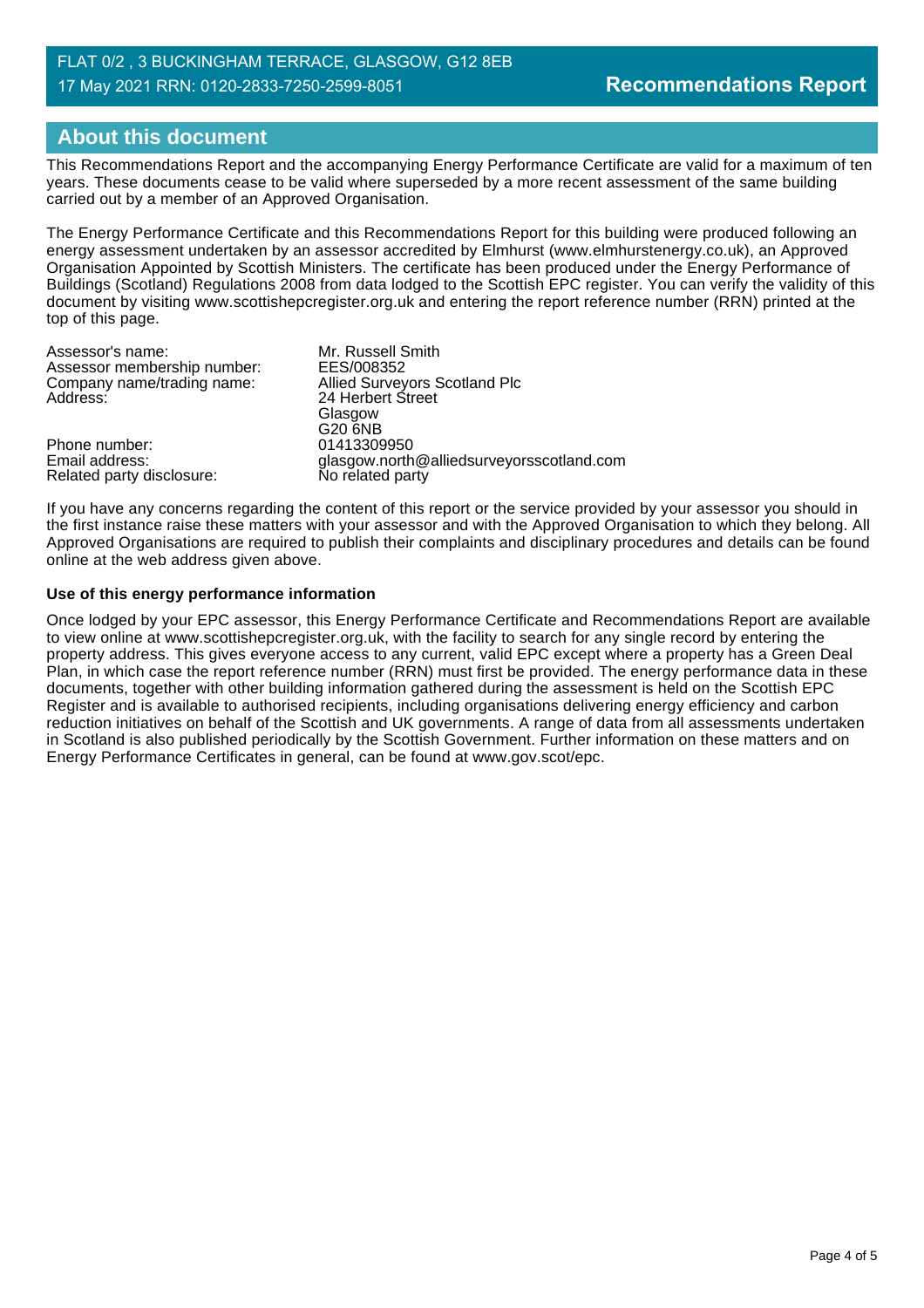#### FLAT 0/2 , 3 BUCKINGHAM TERRACE, GLASGOW, G12 8EB 17 May 2021 RRN: 0120-2833-7250-2599-8051

## **About this document**

This Recommendations Report and the accompanying Energy Performance Certificate are valid for a maximum of ten years. These documents cease to be valid where superseded by a more recent assessment of the same building carried out by a member of an Approved Organisation.

The Energy Performance Certificate and this Recommendations Report for this building were produced following an energy assessment undertaken by an assessor accredited by Elmhurst (www.elmhurstenergy.co.uk), an Approved Organisation Appointed by Scottish Ministers. The certificate has been produced under the Energy Performance of Buildings (Scotland) Regulations 2008 from data lodged to the Scottish EPC register. You can verify the validity of this document by visiting www.scottishepcregister.org.uk and entering the report reference number (RRN) printed at the top of this page.

| Assessor's name:                            | Mr. Russell Smith                                             |
|---------------------------------------------|---------------------------------------------------------------|
| Assessor membership number:                 | EES/008352                                                    |
| Company name/trading name:                  | Allied Surveyors Scotland Plc                                 |
| Address:                                    | 24 Herbert Street                                             |
|                                             | Glasgow                                                       |
|                                             | G20 6NB                                                       |
| Phone number:                               | 01413309950                                                   |
| Email address:<br>Related party disclosure: | glasgow.north@alliedsurveyorsscotland.com<br>No related party |
|                                             |                                                               |

If you have any concerns regarding the content of this report or the service provided by your assessor you should in the first instance raise these matters with your assessor and with the Approved Organisation to which they belong. All Approved Organisations are required to publish their complaints and disciplinary procedures and details can be found online at the web address given above.

#### **Use of this energy performance information**

Once lodged by your EPC assessor, this Energy Performance Certificate and Recommendations Report are available to view online at www.scottishepcregister.org.uk, with the facility to search for any single record by entering the property address. This gives everyone access to any current, valid EPC except where a property has a Green Deal Plan, in which case the report reference number (RRN) must first be provided. The energy performance data in these documents, together with other building information gathered during the assessment is held on the Scottish EPC Register and is available to authorised recipients, including organisations delivering energy efficiency and carbon reduction initiatives on behalf of the Scottish and UK governments. A range of data from all assessments undertaken in Scotland is also published periodically by the Scottish Government. Further information on these matters and on Energy Performance Certificates in general, can be found at www.gov.scot/epc.